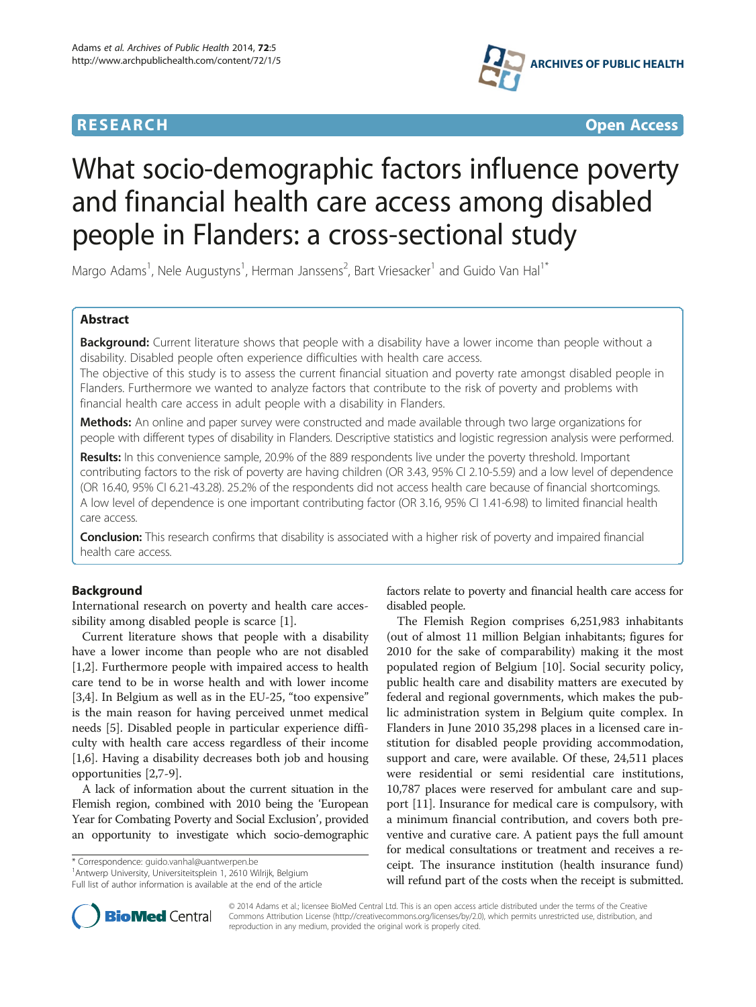



# What socio-demographic factors influence poverty and financial health care access among disabled people in Flanders: a cross-sectional study

Margo Adams<sup>1</sup>, Nele Augustyns<sup>1</sup>, Herman Janssens<sup>2</sup>, Bart Vriesacker<sup>1</sup> and Guido Van Hal<sup>1\*</sup>

# Abstract

Background: Current literature shows that people with a disability have a lower income than people without a disability. Disabled people often experience difficulties with health care access.

The objective of this study is to assess the current financial situation and poverty rate amongst disabled people in Flanders. Furthermore we wanted to analyze factors that contribute to the risk of poverty and problems with financial health care access in adult people with a disability in Flanders.

**Methods:** An online and paper survey were constructed and made available through two large organizations for people with different types of disability in Flanders. Descriptive statistics and logistic regression analysis were performed.

Results: In this convenience sample, 20.9% of the 889 respondents live under the poverty threshold. Important contributing factors to the risk of poverty are having children (OR 3.43, 95% CI 2.10-5.59) and a low level of dependence (OR 16.40, 95% CI 6.21-43.28). 25.2% of the respondents did not access health care because of financial shortcomings. A low level of dependence is one important contributing factor (OR 3.16, 95% CI 1.41-6.98) to limited financial health care access.

**Conclusion:** This research confirms that disability is associated with a higher risk of poverty and impaired financial health care access.

# Background

International research on poverty and health care accessibility among disabled people is scarce [[1](#page-7-0)].

Current literature shows that people with a disability have a lower income than people who are not disabled [[1,2\]](#page-7-0). Furthermore people with impaired access to health care tend to be in worse health and with lower income [[3,4\]](#page-7-0). In Belgium as well as in the EU-25, "too expensive" is the main reason for having perceived unmet medical needs [[5\]](#page-7-0). Disabled people in particular experience difficulty with health care access regardless of their income [[1,6\]](#page-7-0). Having a disability decreases both job and housing opportunities [[2](#page-7-0),[7-9\]](#page-7-0).

A lack of information about the current situation in the Flemish region, combined with 2010 being the 'European Year for Combating Poverty and Social Exclusion', provided an opportunity to investigate which socio-demographic

\* Correspondence: [guido.vanhal@uantwerpen.be](mailto:guido.vanhal@uantwerpen.be) <sup>1</sup>

<sup>1</sup> Antwerp University, Universiteitsplein 1, 2610 Wilrijk, Belgium Full list of author information is available at the end of the article factors relate to poverty and financial health care access for disabled people.

The Flemish Region comprises 6,251,983 inhabitants (out of almost 11 million Belgian inhabitants; figures for 2010 for the sake of comparability) making it the most populated region of Belgium [\[10](#page-7-0)]. Social security policy, public health care and disability matters are executed by federal and regional governments, which makes the public administration system in Belgium quite complex. In Flanders in June 2010 35,298 places in a licensed care institution for disabled people providing accommodation, support and care, were available. Of these, 24,511 places were residential or semi residential care institutions, 10,787 places were reserved for ambulant care and support [\[11\]](#page-7-0). Insurance for medical care is compulsory, with a minimum financial contribution, and covers both preventive and curative care. A patient pays the full amount for medical consultations or treatment and receives a receipt. The insurance institution (health insurance fund) will refund part of the costs when the receipt is submitted.



© 2014 Adams et al.; licensee BioMed Central Ltd. This is an open access article distributed under the terms of the Creative Commons Attribution License [\(http://creativecommons.org/licenses/by/2.0\)](http://creativecommons.org/licenses/by/2.0), which permits unrestricted use, distribution, and reproduction in any medium, provided the original work is properly cited.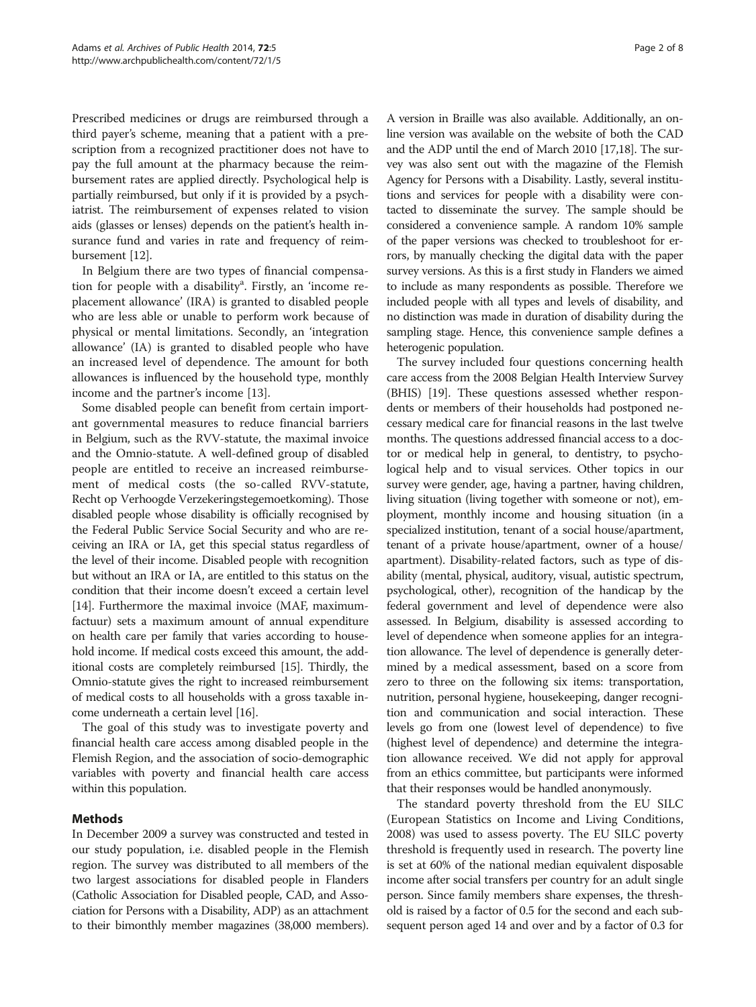Prescribed medicines or drugs are reimbursed through a third payer's scheme, meaning that a patient with a prescription from a recognized practitioner does not have to pay the full amount at the pharmacy because the reimbursement rates are applied directly. Psychological help is partially reimbursed, but only if it is provided by a psychiatrist. The reimbursement of expenses related to vision aids (glasses or lenses) depends on the patient's health insurance fund and varies in rate and frequency of reimbursement [\[12\]](#page-7-0).

In Belgium there are two types of financial compensation for people with a disability<sup>a</sup>. Firstly, an 'income replacement allowance' (IRA) is granted to disabled people who are less able or unable to perform work because of physical or mental limitations. Secondly, an 'integration allowance' (IA) is granted to disabled people who have an increased level of dependence. The amount for both allowances is influenced by the household type, monthly income and the partner's income [[13\]](#page-7-0).

Some disabled people can benefit from certain important governmental measures to reduce financial barriers in Belgium, such as the RVV-statute, the maximal invoice and the Omnio-statute. A well-defined group of disabled people are entitled to receive an increased reimbursement of medical costs (the so-called RVV-statute, Recht op Verhoogde Verzekeringstegemoetkoming). Those disabled people whose disability is officially recognised by the Federal Public Service Social Security and who are receiving an IRA or IA, get this special status regardless of the level of their income. Disabled people with recognition but without an IRA or IA, are entitled to this status on the condition that their income doesn't exceed a certain level [[14](#page-7-0)]. Furthermore the maximal invoice (MAF, maximumfactuur) sets a maximum amount of annual expenditure on health care per family that varies according to household income. If medical costs exceed this amount, the additional costs are completely reimbursed [\[15\]](#page-7-0). Thirdly, the Omnio-statute gives the right to increased reimbursement of medical costs to all households with a gross taxable income underneath a certain level [[16](#page-7-0)].

The goal of this study was to investigate poverty and financial health care access among disabled people in the Flemish Region, and the association of socio-demographic variables with poverty and financial health care access within this population.

# Methods

In December 2009 a survey was constructed and tested in our study population, i.e. disabled people in the Flemish region. The survey was distributed to all members of the two largest associations for disabled people in Flanders (Catholic Association for Disabled people, CAD, and Association for Persons with a Disability, ADP) as an attachment to their bimonthly member magazines (38,000 members).

A version in Braille was also available. Additionally, an online version was available on the website of both the CAD and the ADP until the end of March 2010 [\[17,18\]](#page-7-0). The survey was also sent out with the magazine of the Flemish Agency for Persons with a Disability. Lastly, several institutions and services for people with a disability were contacted to disseminate the survey. The sample should be considered a convenience sample. A random 10% sample of the paper versions was checked to troubleshoot for errors, by manually checking the digital data with the paper survey versions. As this is a first study in Flanders we aimed to include as many respondents as possible. Therefore we included people with all types and levels of disability, and no distinction was made in duration of disability during the sampling stage. Hence, this convenience sample defines a heterogenic population.

The survey included four questions concerning health care access from the 2008 Belgian Health Interview Survey (BHIS) [\[19\]](#page-7-0). These questions assessed whether respondents or members of their households had postponed necessary medical care for financial reasons in the last twelve months. The questions addressed financial access to a doctor or medical help in general, to dentistry, to psychological help and to visual services. Other topics in our survey were gender, age, having a partner, having children, living situation (living together with someone or not), employment, monthly income and housing situation (in a specialized institution, tenant of a social house/apartment, tenant of a private house/apartment, owner of a house/ apartment). Disability-related factors, such as type of disability (mental, physical, auditory, visual, autistic spectrum, psychological, other), recognition of the handicap by the federal government and level of dependence were also assessed. In Belgium, disability is assessed according to level of dependence when someone applies for an integration allowance. The level of dependence is generally determined by a medical assessment, based on a score from zero to three on the following six items: transportation, nutrition, personal hygiene, housekeeping, danger recognition and communication and social interaction. These levels go from one (lowest level of dependence) to five (highest level of dependence) and determine the integration allowance received. We did not apply for approval from an ethics committee, but participants were informed that their responses would be handled anonymously.

The standard poverty threshold from the EU SILC (European Statistics on Income and Living Conditions, 2008) was used to assess poverty. The EU SILC poverty threshold is frequently used in research. The poverty line is set at 60% of the national median equivalent disposable income after social transfers per country for an adult single person. Since family members share expenses, the threshold is raised by a factor of 0.5 for the second and each subsequent person aged 14 and over and by a factor of 0.3 for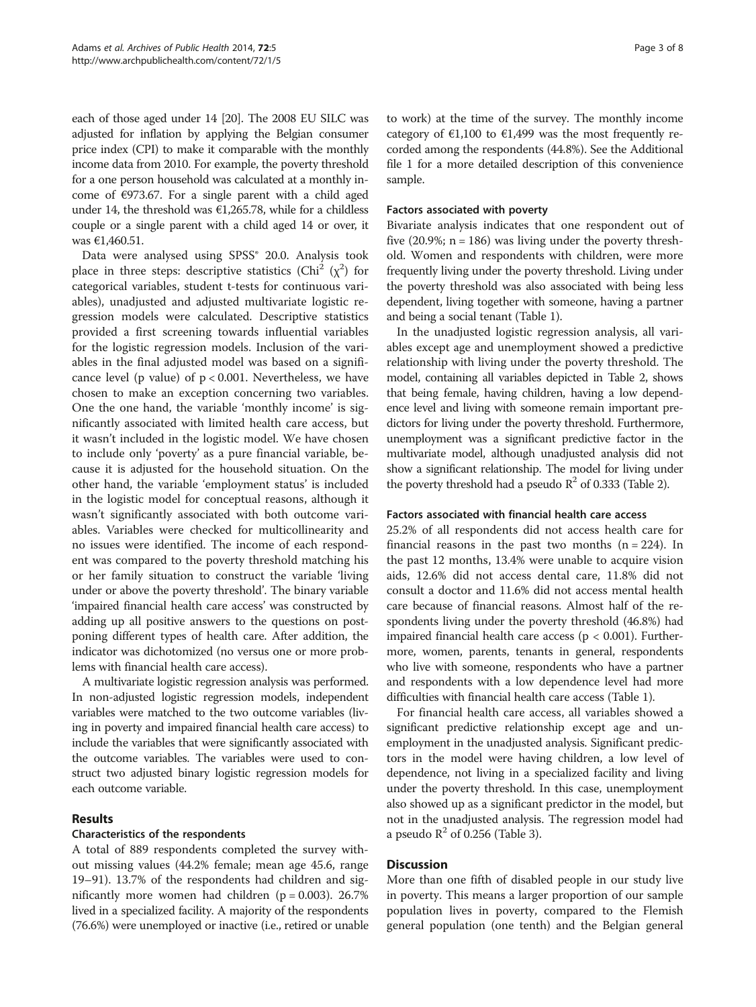each of those aged under 14 [\[20\]](#page-7-0). The 2008 EU SILC was adjusted for inflation by applying the Belgian consumer price index (CPI) to make it comparable with the monthly income data from 2010. For example, the poverty threshold for a one person household was calculated at a monthly income of €973.67. For a single parent with a child aged under 14, the threshold was  $\epsilon$ 1,265.78, while for a childless couple or a single parent with a child aged 14 or over, it was €1,460.51.

Data were analysed using SPSS® 20.0. Analysis took place in three steps: descriptive statistics (Chi $^2$  ( $\chi^2$ ) for categorical variables, student t-tests for continuous variables), unadjusted and adjusted multivariate logistic regression models were calculated. Descriptive statistics provided a first screening towards influential variables for the logistic regression models. Inclusion of the variables in the final adjusted model was based on a significance level (p value) of  $p < 0.001$ . Nevertheless, we have chosen to make an exception concerning two variables. One the one hand, the variable 'monthly income' is significantly associated with limited health care access, but it wasn't included in the logistic model. We have chosen to include only 'poverty' as a pure financial variable, because it is adjusted for the household situation. On the other hand, the variable 'employment status' is included in the logistic model for conceptual reasons, although it wasn't significantly associated with both outcome variables. Variables were checked for multicollinearity and no issues were identified. The income of each respondent was compared to the poverty threshold matching his or her family situation to construct the variable 'living under or above the poverty threshold'. The binary variable 'impaired financial health care access' was constructed by adding up all positive answers to the questions on postponing different types of health care. After addition, the indicator was dichotomized (no versus one or more problems with financial health care access).

A multivariate logistic regression analysis was performed. In non-adjusted logistic regression models, independent variables were matched to the two outcome variables (living in poverty and impaired financial health care access) to include the variables that were significantly associated with the outcome variables. The variables were used to construct two adjusted binary logistic regression models for each outcome variable.

# Results

# Characteristics of the respondents

A total of 889 respondents completed the survey without missing values (44.2% female; mean age 45.6, range 19–91). 13.7% of the respondents had children and significantly more women had children ( $p = 0.003$ ). 26.7% lived in a specialized facility. A majority of the respondents (76.6%) were unemployed or inactive (i.e., retired or unable

to work) at the time of the survey. The monthly income category of  $\epsilon$ 1,100 to  $\epsilon$ 1,499 was the most frequently recorded among the respondents (44.8%). See the Additional file [1](#page-6-0) for a more detailed description of this convenience sample.

## Factors associated with poverty

Bivariate analysis indicates that one respondent out of five  $(20.9\%; n = 186)$  was living under the poverty threshold. Women and respondents with children, were more frequently living under the poverty threshold. Living under the poverty threshold was also associated with being less dependent, living together with someone, having a partner and being a social tenant (Table [1\)](#page-3-0).

In the unadjusted logistic regression analysis, all variables except age and unemployment showed a predictive relationship with living under the poverty threshold. The model, containing all variables depicted in Table [2,](#page-4-0) shows that being female, having children, having a low dependence level and living with someone remain important predictors for living under the poverty threshold. Furthermore, unemployment was a significant predictive factor in the multivariate model, although unadjusted analysis did not show a significant relationship. The model for living under the poverty threshold had a pseudo  $\mathbb{R}^2$  of 0.333 (Table [2\)](#page-4-0).

### Factors associated with financial health care access

25.2% of all respondents did not access health care for financial reasons in the past two months  $(n = 224)$ . In the past 12 months, 13.4% were unable to acquire vision aids, 12.6% did not access dental care, 11.8% did not consult a doctor and 11.6% did not access mental health care because of financial reasons. Almost half of the respondents living under the poverty threshold (46.8%) had impaired financial health care access ( $p < 0.001$ ). Furthermore, women, parents, tenants in general, respondents who live with someone, respondents who have a partner and respondents with a low dependence level had more difficulties with financial health care access (Table [1](#page-3-0)).

For financial health care access, all variables showed a significant predictive relationship except age and unemployment in the unadjusted analysis. Significant predictors in the model were having children, a low level of dependence, not living in a specialized facility and living under the poverty threshold. In this case, unemployment also showed up as a significant predictor in the model, but not in the unadjusted analysis. The regression model had a pseudo  $\mathbb{R}^2$  of 0.256 (Table [3\)](#page-5-0).

#### **Discussion**

More than one fifth of disabled people in our study live in poverty. This means a larger proportion of our sample population lives in poverty, compared to the Flemish general population (one tenth) and the Belgian general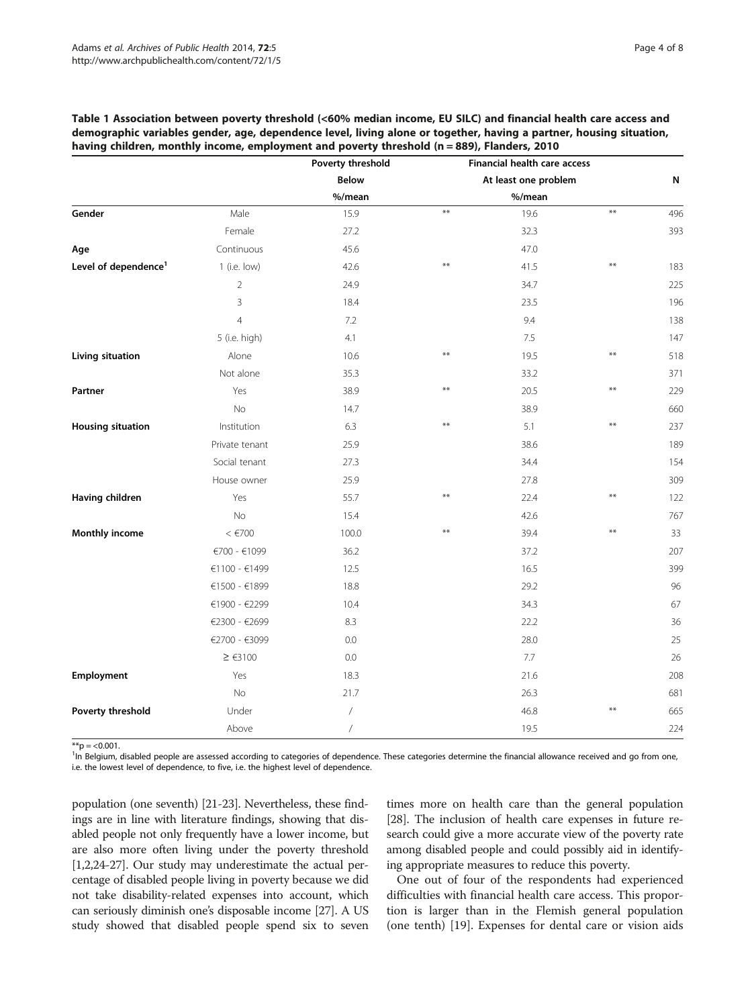|                                  |                | Poverty threshold |       | Financial health care access | N     |     |
|----------------------------------|----------------|-------------------|-------|------------------------------|-------|-----|
|                                  |                | <b>Below</b>      |       | At least one problem         |       |     |
| Gender                           |                | %/mean            |       |                              |       |     |
|                                  | Male           | 15.9              | $***$ | 19.6                         | $**$  | 496 |
|                                  | Female         | 27.2              |       | 32.3                         |       | 393 |
| Age                              | Continuous     | 45.6              |       | 47.0                         |       |     |
| Level of dependence <sup>1</sup> | 1 (i.e. low)   | 42.6              | $***$ | 41.5                         | $***$ | 183 |
|                                  | $\sqrt{2}$     | 24.9              |       | 34.7                         |       | 225 |
|                                  | 3              | 18.4              |       | 23.5                         |       | 196 |
|                                  | $\overline{4}$ | 7.2               |       | 9.4                          |       | 138 |
|                                  | 5 (i.e. high)  | 4.1               |       | 7.5                          |       | 147 |
| Living situation                 | Alone          | 10.6              | $***$ | 19.5                         | $***$ | 518 |
|                                  | Not alone      | 35.3              |       | 33.2                         |       | 371 |
| Partner                          | Yes            | 38.9              | $***$ | 20.5                         | $***$ | 229 |
|                                  | No             | 14.7              |       | 38.9                         |       | 660 |
| <b>Housing situation</b>         | Institution    | 6.3               | $***$ | 5.1                          | $***$ | 237 |
|                                  | Private tenant | 25.9              |       | 38.6                         |       | 189 |
|                                  | Social tenant  | 27.3              |       | 34.4                         |       | 154 |
|                                  | House owner    | 25.9              |       | 27.8                         |       | 309 |
| Having children                  | Yes            | 55.7              | **    | 22.4                         | **    | 122 |
|                                  | <b>No</b>      | 15.4              |       | 42.6                         |       | 767 |
| Monthly income                   | $<$ €700       | 100.0             | $***$ | 39.4                         | $***$ | 33  |
|                                  | €700 - €1099   | 36.2              |       | 37.2                         |       | 207 |
|                                  | €1100 - €1499  | 12.5              |       | 16.5                         |       | 399 |
|                                  | €1500 - €1899  | 18.8              |       | 29.2                         |       | 96  |
|                                  | €1900 - €2299  | 10.4              |       | 34.3                         |       | 67  |
|                                  | €2300 - €2699  | 8.3               |       | 22.2                         |       | 36  |
|                                  | €2700 - €3099  | 0.0               |       | 28.0                         |       | 25  |
|                                  | ≥ €3100        | 0.0               |       | 7.7                          |       | 26  |
| Employment                       | Yes            | 18.3              |       | 21.6                         |       | 208 |
|                                  | No             | 21.7              |       | 26.3                         |       | 681 |
| Poverty threshold                | Under          | $\! /$            |       | 46.8                         | $**$  | 665 |
|                                  | Above          | $\sqrt{2}$        |       | 19.5                         |       | 224 |

## <span id="page-3-0"></span>Table 1 Association between poverty threshold (<60% median income, EU SILC) and financial health care access and demographic variables gender, age, dependence level, living alone or together, having a partner, housing situation, having children, monthly income, employment and poverty threshold (n = 889), Flanders, 2010

 $**p = 0.001$ .

<sup>1</sup>In Belgium, disabled people are assessed according to categories of dependence. These categories determine the financial allowance received and go from one, i.e. the lowest level of dependence, to five, i.e. the highest level of dependence.

population (one seventh) [\[21-23\]](#page-7-0). Nevertheless, these findings are in line with literature findings, showing that disabled people not only frequently have a lower income, but are also more often living under the poverty threshold [[1,2,24-27\]](#page-7-0). Our study may underestimate the actual percentage of disabled people living in poverty because we did not take disability-related expenses into account, which can seriously diminish one's disposable income [\[27\]](#page-7-0). A US study showed that disabled people spend six to seven times more on health care than the general population [[28](#page-7-0)]. The inclusion of health care expenses in future research could give a more accurate view of the poverty rate among disabled people and could possibly aid in identifying appropriate measures to reduce this poverty.

One out of four of the respondents had experienced difficulties with financial health care access. This proportion is larger than in the Flemish general population (one tenth) [[19\]](#page-7-0). Expenses for dental care or vision aids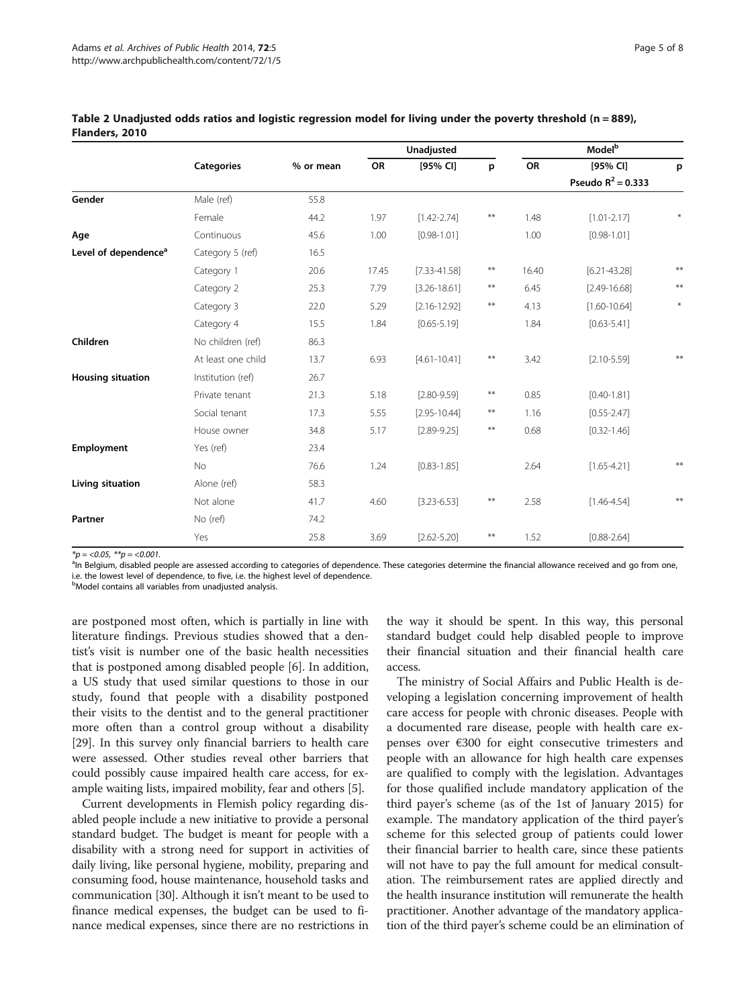|                                  | <b>Categories</b>  | % or mean | Unadjusted |                  |                        | Model <sup>b</sup> |                      |        |
|----------------------------------|--------------------|-----------|------------|------------------|------------------------|--------------------|----------------------|--------|
|                                  |                    |           | OR         | [95% CI]         | p                      | OR                 | [95% CI]             | p      |
|                                  |                    |           |            |                  |                        |                    | Pseudo $R^2 = 0.333$ |        |
| Gender                           | Male (ref)         | 55.8      |            |                  |                        |                    |                      |        |
|                                  | Female             | 44.2      | 1.97       | $[1.42 - 2.74]$  | $***$                  | 1.48               | $[1.01 - 2.17]$      |        |
| Age                              | Continuous         | 45.6      | 1.00       | $[0.98 - 1.01]$  |                        | 1.00               | $[0.98 - 1.01]$      |        |
| Level of dependence <sup>a</sup> | Category 5 (ref)   | 16.5      |            |                  |                        |                    |                      |        |
|                                  | Category 1         | 20.6      | 17.45      | $[7.33 - 41.58]$ | $\pmb{\ast}\pmb{\ast}$ | 16.40              | $[6.21 - 43.28]$     | $**$   |
|                                  | Category 2         | 25.3      | 7.79       | $[3.26 - 18.61]$ | $***$                  | 6.45               | $[2.49 - 16.68]$     | $**$   |
|                                  | Category 3         | 22.0      | 5.29       | $[2.16 - 12.92]$ | $***$                  | 4.13               | $[1.60 - 10.64]$     | $\ast$ |
|                                  | Category 4         | 15.5      | 1.84       | $[0.65 - 5.19]$  |                        | 1.84               | $[0.63 - 5.41]$      |        |
| Children                         | No children (ref)  | 86.3      |            |                  |                        |                    |                      |        |
|                                  | At least one child | 13.7      | 6.93       | $[4.61 - 10.41]$ | $***$                  | 3.42               | $[2.10 - 5.59]$      | $**$   |
| <b>Housing situation</b>         | Institution (ref)  | 26.7      |            |                  |                        |                    |                      |        |
|                                  | Private tenant     | 21.3      | 5.18       | $[2.80 - 9.59]$  | $\star\star$           | 0.85               | $[0.40 - 1.81]$      |        |
|                                  | Social tenant      | 17.3      | 5.55       | $[2.95 - 10.44]$ | $***$                  | 1.16               | $[0.55 - 2.47]$      |        |
|                                  | House owner        | 34.8      | 5.17       | $[2.89 - 9.25]$  | $***$                  | 0.68               | $[0.32 - 1.46]$      |        |
| <b>Employment</b>                | Yes (ref)          | 23.4      |            |                  |                        |                    |                      |        |
|                                  | No                 | 76.6      | 1.24       | $[0.83 - 1.85]$  |                        | 2.64               | $[1.65 - 4.21]$      | $**$   |
| Living situation                 | Alone (ref)        | 58.3      |            |                  |                        |                    |                      |        |
|                                  | Not alone          | 41.7      | 4.60       | $[3.23 - 6.53]$  | $***$                  | 2.58               | $[1.46 - 4.54]$      |        |
| Partner                          | No (ref)           | 74.2      |            |                  |                        |                    |                      |        |
|                                  | Yes                | 25.8      | 3.69       | $[2.62 - 5.20]$  | $***$                  | 1.52               | $[0.88 - 2.64]$      |        |

#### <span id="page-4-0"></span>Table 2 Unadjusted odds ratios and logistic regression model for living under the poverty threshold (n = 889), Flanders, 2010

 $*_{p} = 0.05$ ,  $*_{p} = 0.001$ .

<sup>a</sup>ln Belgium, disabled people are assessed according to categories of dependence. These categories determine the financial allowance received and go from one, i.e. the lowest level of dependence, to five, i.e. the highest level of dependence.

**b**Model contains all variables from unadjusted analysis.

are postponed most often, which is partially in line with literature findings. Previous studies showed that a dentist's visit is number one of the basic health necessities that is postponed among disabled people [\[6\]](#page-7-0). In addition, a US study that used similar questions to those in our study, found that people with a disability postponed their visits to the dentist and to the general practitioner more often than a control group without a disability [[29](#page-7-0)]. In this survey only financial barriers to health care were assessed. Other studies reveal other barriers that could possibly cause impaired health care access, for example waiting lists, impaired mobility, fear and others [\[5](#page-7-0)].

Current developments in Flemish policy regarding disabled people include a new initiative to provide a personal standard budget. The budget is meant for people with a disability with a strong need for support in activities of daily living, like personal hygiene, mobility, preparing and consuming food, house maintenance, household tasks and communication [[30](#page-7-0)]. Although it isn't meant to be used to finance medical expenses, the budget can be used to finance medical expenses, since there are no restrictions in the way it should be spent. In this way, this personal standard budget could help disabled people to improve their financial situation and their financial health care access.

The ministry of Social Affairs and Public Health is developing a legislation concerning improvement of health care access for people with chronic diseases. People with a documented rare disease, people with health care expenses over €300 for eight consecutive trimesters and people with an allowance for high health care expenses are qualified to comply with the legislation. Advantages for those qualified include mandatory application of the third payer's scheme (as of the 1st of January 2015) for example. The mandatory application of the third payer's scheme for this selected group of patients could lower their financial barrier to health care, since these patients will not have to pay the full amount for medical consultation. The reimbursement rates are applied directly and the health insurance institution will remunerate the health practitioner. Another advantage of the mandatory application of the third payer's scheme could be an elimination of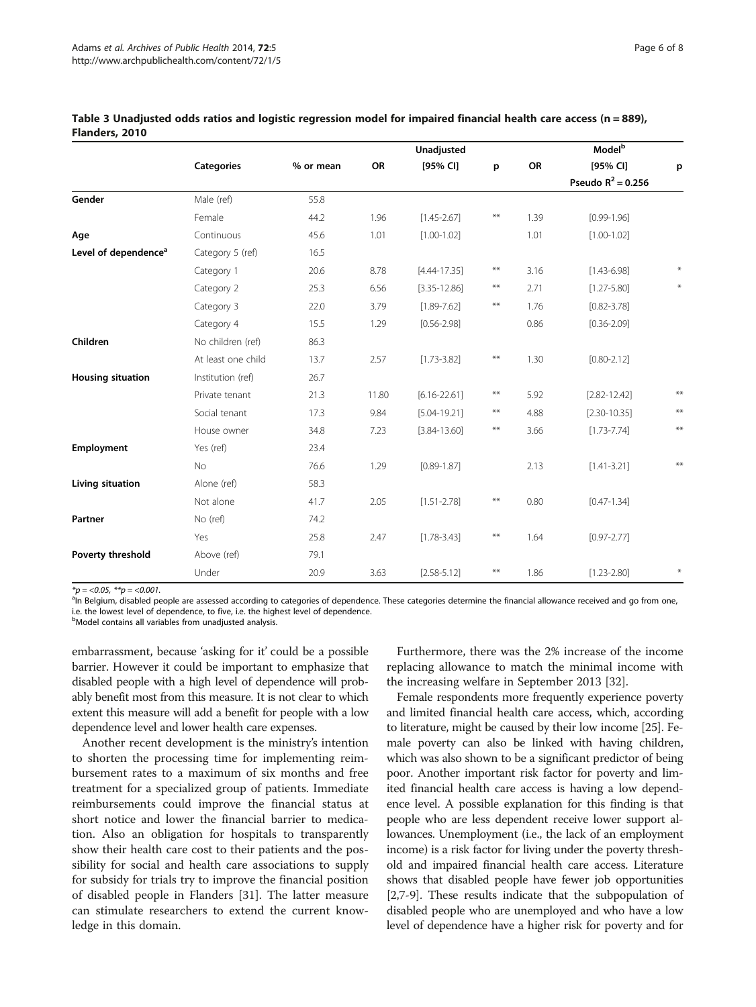|                                  | <b>Categories</b>  | % or mean |       | Unadjusted       | p                      | OR   | <b>Model</b> <sup>b</sup><br>[95% CI] | p      |
|----------------------------------|--------------------|-----------|-------|------------------|------------------------|------|---------------------------------------|--------|
|                                  |                    |           | OR    | $[95%$ CI]       |                        |      |                                       |        |
|                                  |                    |           |       |                  |                        |      | Pseudo $R^2 = 0.256$                  |        |
| Gender                           | Male (ref)         | 55.8      |       |                  |                        |      |                                       |        |
|                                  | Female             | 44.2      | 1.96  | $[1.45 - 2.67]$  | $\ast\ast$             | 1.39 | $[0.99 - 1.96]$                       |        |
| Age                              | Continuous         | 45.6      | 1.01  | $[1.00 - 1.02]$  |                        | 1.01 | $[1.00 - 1.02]$                       |        |
| Level of dependence <sup>a</sup> | Category 5 (ref)   | 16.5      |       |                  |                        |      |                                       |        |
|                                  | Category 1         | 20.6      | 8.78  | $[4.44 - 17.35]$ | $\star\star$           | 3.16 | $[1.43 - 6.98]$                       |        |
|                                  | Category 2         | 25.3      | 6.56  | $[3.35 - 12.86]$ | $\pmb{\ast}\pmb{\ast}$ | 2.71 | $[1.27 - 5.80]$                       | $\ast$ |
|                                  | Category 3         | 22.0      | 3.79  | $[1.89 - 7.62]$  | $\star\star$           | 1.76 | $[0.82 - 3.78]$                       |        |
|                                  | Category 4         | 15.5      | 1.29  | $[0.56 - 2.98]$  |                        | 0.86 | $[0.36 - 2.09]$                       |        |
| Children                         | No children (ref)  | 86.3      |       |                  |                        |      |                                       |        |
|                                  | At least one child | 13.7      | 2.57  | $[1.73 - 3.82]$  | $\pmb{\ast}\pmb{\ast}$ | 1.30 | $[0.80 - 2.12]$                       |        |
| <b>Housing situation</b>         | Institution (ref)  | 26.7      |       |                  |                        |      |                                       |        |
|                                  | Private tenant     | 21.3      | 11.80 | $[6.16 - 22.61]$ | $\star\star$           | 5.92 | $[2.82 - 12.42]$                      | $**$   |
|                                  | Social tenant      | 17.3      | 9.84  | $[5.04 - 19.21]$ | $***$                  | 4.88 | $[2.30 - 10.35]$                      | $**$   |
|                                  | House owner        | 34.8      | 7.23  | $[3.84 - 13.60]$ | $\ast\ast$             | 3.66 | $[1.73 - 7.74]$                       | $**$   |
| Employment                       | Yes (ref)          | 23.4      |       |                  |                        |      |                                       |        |
|                                  | <b>No</b>          | 76.6      | 1.29  | $[0.89 - 1.87]$  |                        | 2.13 | $[1.41 - 3.21]$                       | $**$   |
| Living situation                 | Alone (ref)        | 58.3      |       |                  |                        |      |                                       |        |
|                                  | Not alone          | 41.7      | 2.05  | $[1.51 - 2.78]$  | $\ast\ast$             | 0.80 | $[0.47 - 1.34]$                       |        |
| Partner                          | No (ref)           | 74.2      |       |                  |                        |      |                                       |        |
|                                  | Yes                | 25.8      | 2.47  | $[1.78 - 3.43]$  | $\ast\ast$             | 1.64 | $[0.97 - 2.77]$                       |        |
| Poverty threshold                | Above (ref)        | 79.1      |       |                  |                        |      |                                       |        |
|                                  | Under              | 20.9      | 3.63  | $[2.58 - 5.12]$  | $***$                  | 1.86 | $[1.23 - 2.80]$                       | $\ast$ |

#### <span id="page-5-0"></span>Table 3 Unadjusted odds ratios and logistic regression model for impaired financial health care access (n = 889), Flanders, 2010

 $*_{p} = 6.05$ ,  $**_{p} = 6.001$ .

<sup>a</sup>In Belgium, disabled people are assessed according to categories of dependence. These categories determine the financial allowance received and go from one, i.e. the lowest level of dependence, to five, i.e. the highest level of dependence.

**bModel contains all variables from unadjusted analysis.** 

embarrassment, because 'asking for it' could be a possible barrier. However it could be important to emphasize that disabled people with a high level of dependence will probably benefit most from this measure. It is not clear to which extent this measure will add a benefit for people with a low dependence level and lower health care expenses.

Another recent development is the ministry's intention to shorten the processing time for implementing reimbursement rates to a maximum of six months and free treatment for a specialized group of patients. Immediate reimbursements could improve the financial status at short notice and lower the financial barrier to medication. Also an obligation for hospitals to transparently show their health care cost to their patients and the possibility for social and health care associations to supply for subsidy for trials try to improve the financial position of disabled people in Flanders [\[31](#page-7-0)]. The latter measure can stimulate researchers to extend the current knowledge in this domain.

Furthermore, there was the 2% increase of the income replacing allowance to match the minimal income with the increasing welfare in September 2013 [\[32\]](#page-7-0).

Female respondents more frequently experience poverty and limited financial health care access, which, according to literature, might be caused by their low income [\[25](#page-7-0)]. Female poverty can also be linked with having children, which was also shown to be a significant predictor of being poor. Another important risk factor for poverty and limited financial health care access is having a low dependence level. A possible explanation for this finding is that people who are less dependent receive lower support allowances. Unemployment (i.e., the lack of an employment income) is a risk factor for living under the poverty threshold and impaired financial health care access. Literature shows that disabled people have fewer job opportunities [[2,7](#page-7-0)-[9\]](#page-7-0). These results indicate that the subpopulation of disabled people who are unemployed and who have a low level of dependence have a higher risk for poverty and for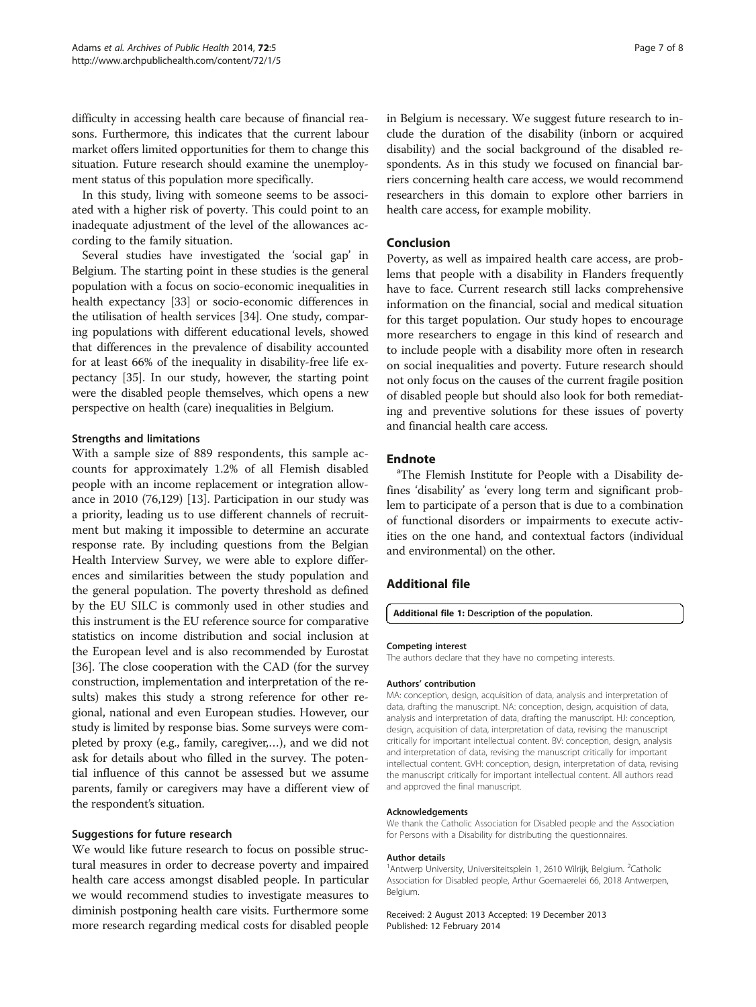<span id="page-6-0"></span>difficulty in accessing health care because of financial reasons. Furthermore, this indicates that the current labour market offers limited opportunities for them to change this situation. Future research should examine the unemployment status of this population more specifically.

In this study, living with someone seems to be associated with a higher risk of poverty. This could point to an inadequate adjustment of the level of the allowances according to the family situation.

Several studies have investigated the 'social gap' in Belgium. The starting point in these studies is the general population with a focus on socio-economic inequalities in health expectancy [[33](#page-7-0)] or socio-economic differences in the utilisation of health services [[34](#page-7-0)]. One study, comparing populations with different educational levels, showed that differences in the prevalence of disability accounted for at least 66% of the inequality in disability-free life expectancy [\[35](#page-7-0)]. In our study, however, the starting point were the disabled people themselves, which opens a new perspective on health (care) inequalities in Belgium.

# Strengths and limitations

With a sample size of 889 respondents, this sample accounts for approximately 1.2% of all Flemish disabled people with an income replacement or integration allowance in 2010 (76,129) [\[13](#page-7-0)]. Participation in our study was a priority, leading us to use different channels of recruitment but making it impossible to determine an accurate response rate. By including questions from the Belgian Health Interview Survey, we were able to explore differences and similarities between the study population and the general population. The poverty threshold as defined by the EU SILC is commonly used in other studies and this instrument is the EU reference source for comparative statistics on income distribution and social inclusion at the European level and is also recommended by Eurostat [[36](#page-7-0)]. The close cooperation with the CAD (for the survey construction, implementation and interpretation of the results) makes this study a strong reference for other regional, national and even European studies. However, our study is limited by response bias. Some surveys were completed by proxy (e.g., family, caregiver,…), and we did not ask for details about who filled in the survey. The potential influence of this cannot be assessed but we assume parents, family or caregivers may have a different view of the respondent's situation.

#### Suggestions for future research

We would like future research to focus on possible structural measures in order to decrease poverty and impaired health care access amongst disabled people. In particular we would recommend studies to investigate measures to diminish postponing health care visits. Furthermore some more research regarding medical costs for disabled people

in Belgium is necessary. We suggest future research to include the duration of the disability (inborn or acquired disability) and the social background of the disabled respondents. As in this study we focused on financial barriers concerning health care access, we would recommend researchers in this domain to explore other barriers in health care access, for example mobility.

# Conclusion

Poverty, as well as impaired health care access, are problems that people with a disability in Flanders frequently have to face. Current research still lacks comprehensive information on the financial, social and medical situation for this target population. Our study hopes to encourage more researchers to engage in this kind of research and to include people with a disability more often in research on social inequalities and poverty. Future research should not only focus on the causes of the current fragile position of disabled people but should also look for both remediating and preventive solutions for these issues of poverty and financial health care access.

# **Endnote**

The Flemish Institute for People with a Disability defines 'disability' as 'every long term and significant problem to participate of a person that is due to a combination of functional disorders or impairments to execute activities on the one hand, and contextual factors (individual and environmental) on the other.

# Additional file

[Additional file 1:](http://www.biomedcentral.com/content/supplementary/2049-3258-72-5-S1.docx) Description of the population.

#### Competing interest

The authors declare that they have no competing interests.

#### Authors' contribution

MA: conception, design, acquisition of data, analysis and interpretation of data, drafting the manuscript. NA: conception, design, acquisition of data, analysis and interpretation of data, drafting the manuscript. HJ: conception, design, acquisition of data, interpretation of data, revising the manuscript critically for important intellectual content. BV: conception, design, analysis and interpretation of data, revising the manuscript critically for important intellectual content. GVH: conception, design, interpretation of data, revising the manuscript critically for important intellectual content. All authors read and approved the final manuscript.

#### Acknowledgements

We thank the Catholic Association for Disabled people and the Association for Persons with a Disability for distributing the questionnaires.

#### Author details

<sup>1</sup> Antwerp University, Universiteitsplein 1, 2610 Wilrijk, Belgium. <sup>2</sup> Catholic Association for Disabled people, Arthur Goemaerelei 66, 2018 Antwerpen, Belgium.

Received: 2 August 2013 Accepted: 19 December 2013 Published: 12 February 2014